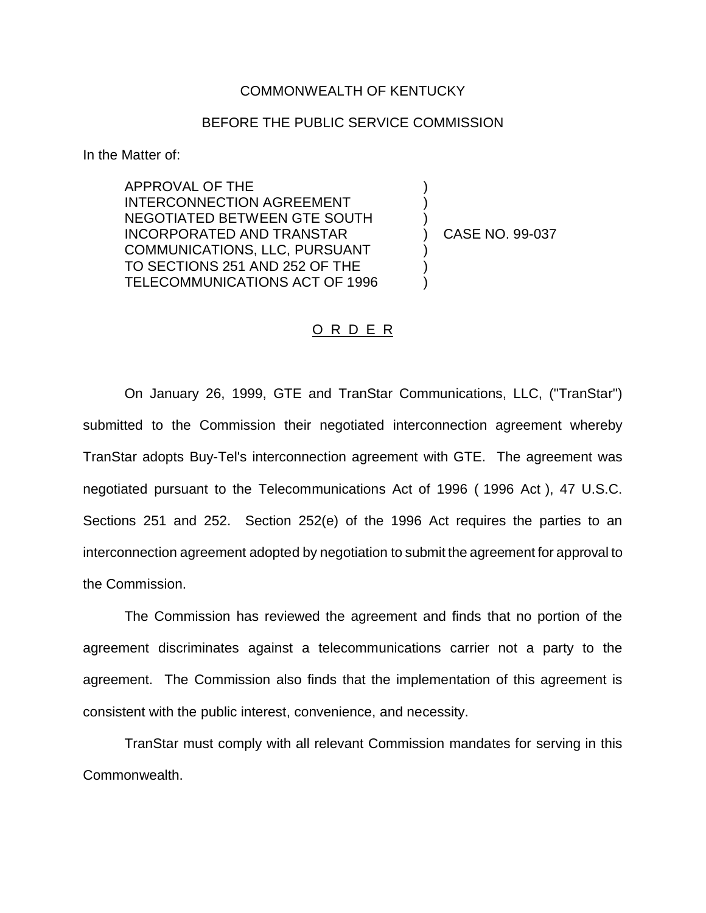## COMMONWEALTH OF KENTUCKY

## BEFORE THE PUBLIC SERVICE COMMISSION

In the Matter of:

APPROVAL OF THE INTERCONNECTION AGREEMENT NEGOTIATED BETWEEN GTE SOUTH INCORPORATED AND TRANSTAR COMMUNICATIONS, LLC, PURSUANT TO SECTIONS 251 AND 252 OF THE TELECOMMUNICATIONS ACT OF 1996

) CASE NO. 99-037

) ) )

) ) )

## O R D E R

On January 26, 1999, GTE and TranStar Communications, LLC, ("TranStar") submitted to the Commission their negotiated interconnection agreement whereby TranStar adopts Buy-Tel's interconnection agreement with GTE. The agreement was negotiated pursuant to the Telecommunications Act of 1996 ( 1996 Act ), 47 U.S.C. Sections 251 and 252. Section 252(e) of the 1996 Act requires the parties to an interconnection agreement adopted by negotiation to submit the agreement for approval to the Commission.

The Commission has reviewed the agreement and finds that no portion of the agreement discriminates against a telecommunications carrier not a party to the agreement. The Commission also finds that the implementation of this agreement is consistent with the public interest, convenience, and necessity.

TranStar must comply with all relevant Commission mandates for serving in this Commonwealth.